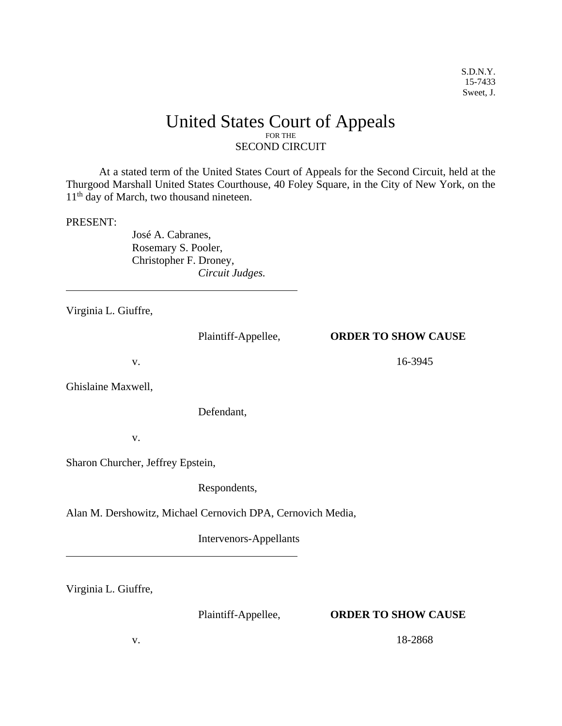## United States Court of Appeals FOR THE SECOND CIRCUIT

 At a stated term of the United States Court of Appeals for the Second Circuit, held at the Thurgood Marshall United States Courthouse, 40 Foley Square, in the City of New York, on the 11<sup>th</sup> day of March, two thousand nineteen.

## PRESENT:

 $\overline{a}$ 

José A. Cabranes, Rosemary S. Pooler, Christopher F. Droney, *Circuit Judges.* 

Virginia L. Giuffre,

## Plaintiff-Appellee, **ORDER TO SHOW CAUSE**

v. 16-3945

Ghislaine Maxwell,

Defendant,

v.

Sharon Churcher, Jeffrey Epstein,

Respondents,

Alan M. Dershowitz, Michael Cernovich DPA, Cernovich Media,

Intervenors-Appellants

Virginia L. Giuffre,

 $\overline{a}$ 

## Plaintiff-Appellee, **ORDER TO SHOW CAUSE**